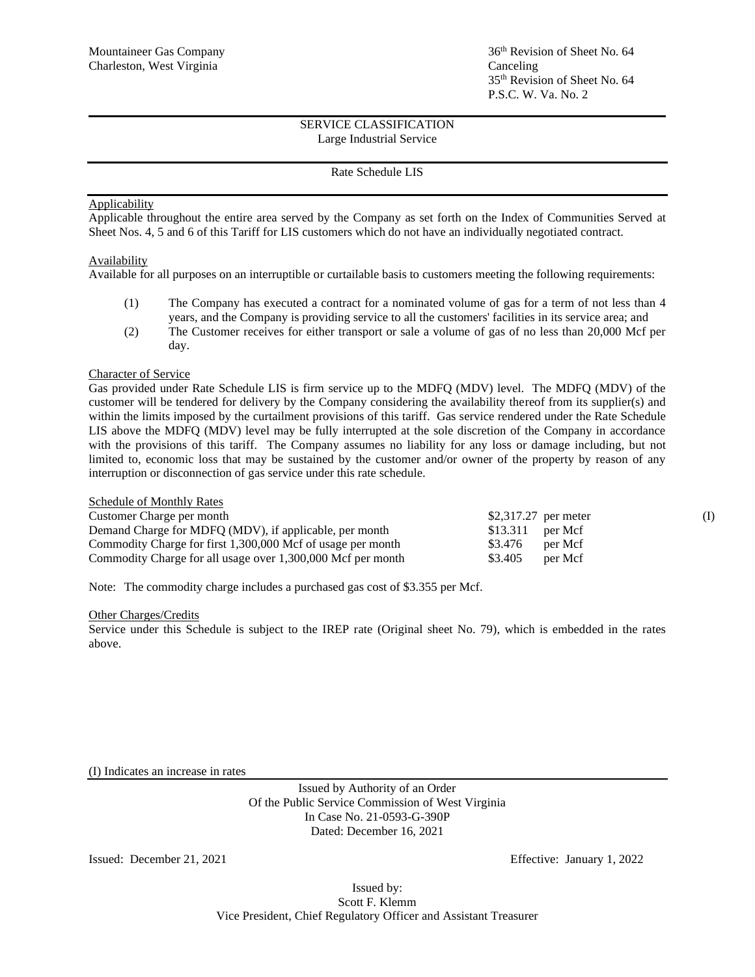# 36<sup>th</sup> Revision of Sheet No. 64 35 th Revision of Sheet No. 64 P.S.C. W. Va. No. 2

# SERVICE CLASSIFICATION Large Industrial Service

# Rate Schedule LIS

## **Applicability**

Applicable throughout the entire area served by the Company as set forth on the Index of Communities Served at Sheet Nos. 4, 5 and 6 of this Tariff for LIS customers which do not have an individually negotiated contract.

#### Availability

Available for all purposes on an interruptible or curtailable basis to customers meeting the following requirements:

- (1) The Company has executed a contract for a nominated volume of gas for a term of not less than 4 years, and the Company is providing service to all the customers' facilities in its service area; and
- (2) The Customer receives for either transport or sale a volume of gas of no less than 20,000 Mcf per day.

#### Character of Service

Gas provided under Rate Schedule LIS is firm service up to the MDFQ (MDV) level. The MDFQ (MDV) of the customer will be tendered for delivery by the Company considering the availability thereof from its supplier(s) and within the limits imposed by the curtailment provisions of this tariff. Gas service rendered under the Rate Schedule LIS above the MDFQ (MDV) level may be fully interrupted at the sole discretion of the Company in accordance with the provisions of this tariff. The Company assumes no liability for any loss or damage including, but not limited to, economic loss that may be sustained by the customer and/or owner of the property by reason of any interruption or disconnection of gas service under this rate schedule.

| <b>Schedule of Monthly Rates</b>                            |                      |  |
|-------------------------------------------------------------|----------------------|--|
| Customer Charge per month                                   | \$2,317.27 per meter |  |
| Demand Charge for MDFQ (MDV), if applicable, per month      | $$13.311$ per Mcf    |  |
| Commodity Charge for first 1,300,000 Mcf of usage per month | \$3.476<br>per Mcf   |  |
| Commodity Charge for all usage over 1,300,000 Mcf per month | \$3.405<br>per Mcf   |  |

Note: The commodity charge includes a purchased gas cost of \$3.355 per Mcf.

#### Other Charges/Credits

Service under this Schedule is subject to the IREP rate (Original sheet No. 79), which is embedded in the rates above.

(I) Indicates an increase in rates

Issued by Authority of an Order Of the Public Service Commission of West Virginia In Case No. 21-0593-G-390P Dated: December 16, 2021

Issued: December 21, 2021 Effective: January 1, 2022

Issued by: Scott F. Klemm Vice President, Chief Regulatory Officer and Assistant Treasurer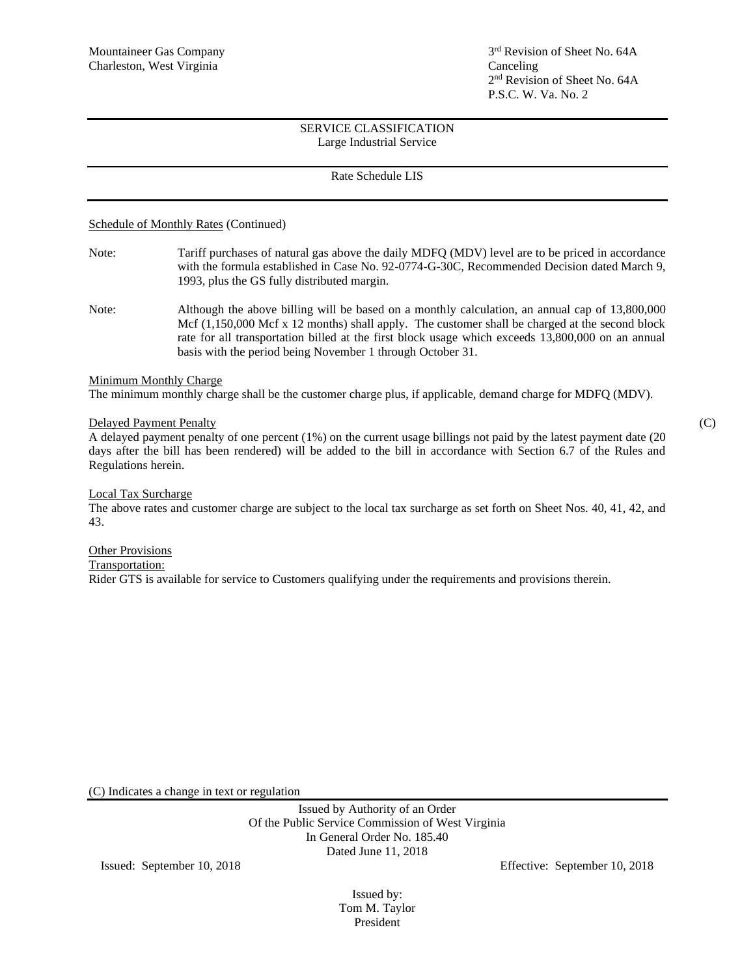## SERVICE CLASSIFICATION Large Industrial Service

# Rate Schedule LIS

## Schedule of Monthly Rates (Continued)

- Note: Tariff purchases of natural gas above the daily MDFQ (MDV) level are to be priced in accordance with the formula established in Case No. 92-0774-G-30C, Recommended Decision dated March 9, 1993, plus the GS fully distributed margin.
- Note: Although the above billing will be based on a monthly calculation, an annual cap of 13,800,000 Mcf (1,150,000 Mcf x 12 months) shall apply. The customer shall be charged at the second block rate for all transportation billed at the first block usage which exceeds 13,800,000 on an annual basis with the period being November 1 through October 31.

#### Minimum Monthly Charge

The minimum monthly charge shall be the customer charge plus, if applicable, demand charge for MDFQ (MDV).

# Delayed Payment Penalty (C)

A delayed payment penalty of one percent (1%) on the current usage billings not paid by the latest payment date (20 days after the bill has been rendered) will be added to the bill in accordance with Section 6.7 of the Rules and Regulations herein.

#### Local Tax Surcharge

The above rates and customer charge are subject to the local tax surcharge as set forth on Sheet Nos. 40, 41, 42, and 43.

#### **Other Provisions**

Transportation:

Rider GTS is available for service to Customers qualifying under the requirements and provisions therein.

(C) Indicates a change in text or regulation

Issued by Authority of an Order Of the Public Service Commission of West Virginia In General Order No. 185.40 Dated June 11, 2018

Issued: September 10, 2018 Effective: September 10, 2018

Issued by: Tom M. Taylor President